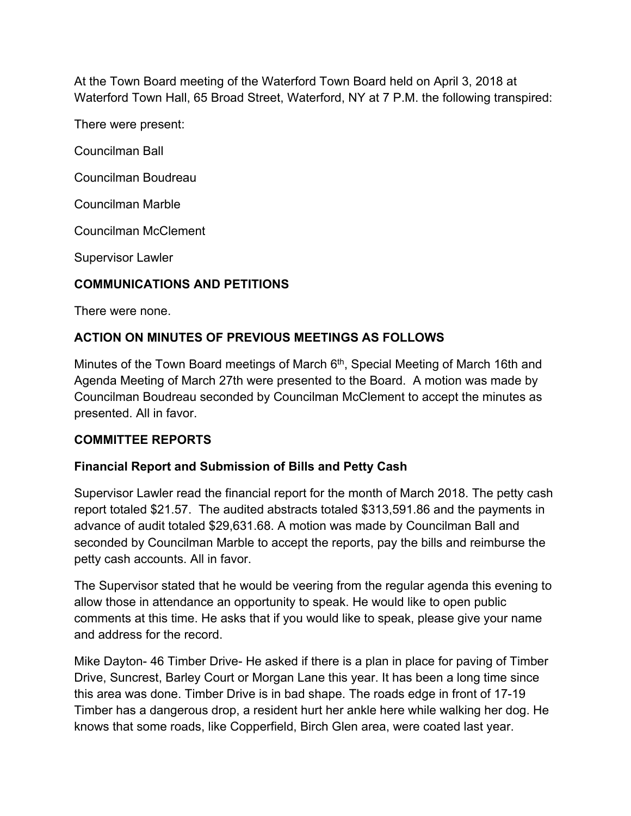At the Town Board meeting of the Waterford Town Board held on April 3, 2018 at Waterford Town Hall, 65 Broad Street, Waterford, NY at 7 P.M. the following transpired:

There were present:

Councilman Ball

Councilman Boudreau

Councilman Marble

Councilman McClement

Supervisor Lawler

## **COMMUNICATIONS AND PETITIONS**

There were none.

## **ACTION ON MINUTES OF PREVIOUS MEETINGS AS FOLLOWS**

Minutes of the Town Board meetings of March 6<sup>th</sup>, Special Meeting of March 16th and Agenda Meeting of March 27th were presented to the Board. A motion was made by Councilman Boudreau seconded by Councilman McClement to accept the minutes as presented. All in favor.

## **COMMITTEE REPORTS**

## **Financial Report and Submission of Bills and Petty Cash**

Supervisor Lawler read the financial report for the month of March 2018. The petty cash report totaled \$21.57. The audited abstracts totaled \$313,591.86 and the payments in advance of audit totaled \$29,631.68. A motion was made by Councilman Ball and seconded by Councilman Marble to accept the reports, pay the bills and reimburse the petty cash accounts. All in favor.

The Supervisor stated that he would be veering from the regular agenda this evening to allow those in attendance an opportunity to speak. He would like to open public comments at this time. He asks that if you would like to speak, please give your name and address for the record.

Mike Dayton- 46 Timber Drive- He asked if there is a plan in place for paving of Timber Drive, Suncrest, Barley Court or Morgan Lane this year. It has been a long time since this area was done. Timber Drive is in bad shape. The roads edge in front of 17-19 Timber has a dangerous drop, a resident hurt her ankle here while walking her dog. He knows that some roads, like Copperfield, Birch Glen area, were coated last year.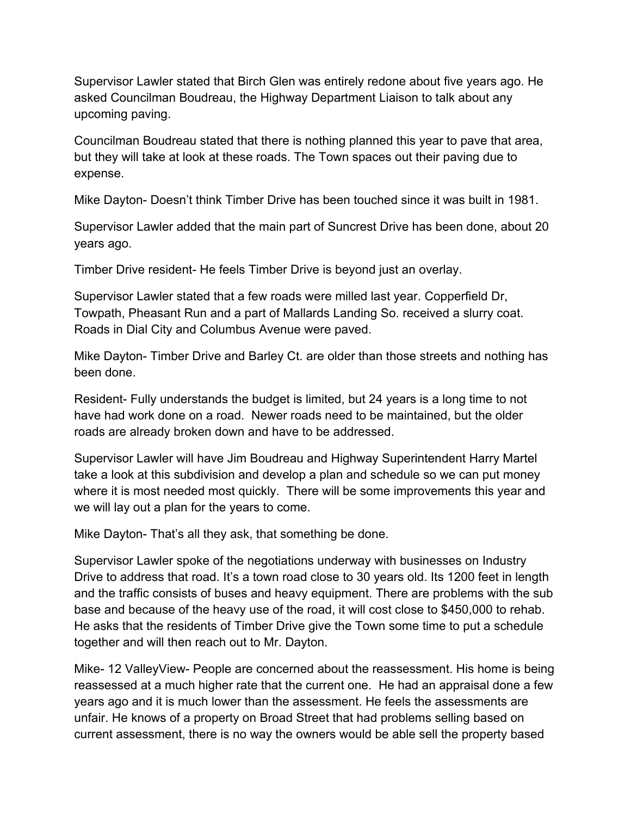Supervisor Lawler stated that Birch Glen was entirely redone about five years ago. He asked Councilman Boudreau, the Highway Department Liaison to talk about any upcoming paving.

Councilman Boudreau stated that there is nothing planned this year to pave that area, but they will take at look at these roads. The Town spaces out their paving due to expense.

Mike Dayton- Doesn't think Timber Drive has been touched since it was built in 1981.

Supervisor Lawler added that the main part of Suncrest Drive has been done, about 20 years ago.

Timber Drive resident- He feels Timber Drive is beyond just an overlay.

Supervisor Lawler stated that a few roads were milled last year. Copperfield Dr, Towpath, Pheasant Run and a part of Mallards Landing So. received a slurry coat. Roads in Dial City and Columbus Avenue were paved.

Mike Dayton- Timber Drive and Barley Ct. are older than those streets and nothing has been done.

Resident- Fully understands the budget is limited, but 24 years is a long time to not have had work done on a road. Newer roads need to be maintained, but the older roads are already broken down and have to be addressed.

Supervisor Lawler will have Jim Boudreau and Highway Superintendent Harry Martel take a look at this subdivision and develop a plan and schedule so we can put money where it is most needed most quickly. There will be some improvements this year and we will lay out a plan for the years to come.

Mike Dayton- That's all they ask, that something be done.

Supervisor Lawler spoke of the negotiations underway with businesses on Industry Drive to address that road. It's a town road close to 30 years old. Its 1200 feet in length and the traffic consists of buses and heavy equipment. There are problems with the sub base and because of the heavy use of the road, it will cost close to \$450,000 to rehab. He asks that the residents of Timber Drive give the Town some time to put a schedule together and will then reach out to Mr. Dayton.

Mike- 12 ValleyView- People are concerned about the reassessment. His home is being reassessed at a much higher rate that the current one. He had an appraisal done a few years ago and it is much lower than the assessment. He feels the assessments are unfair. He knows of a property on Broad Street that had problems selling based on current assessment, there is no way the owners would be able sell the property based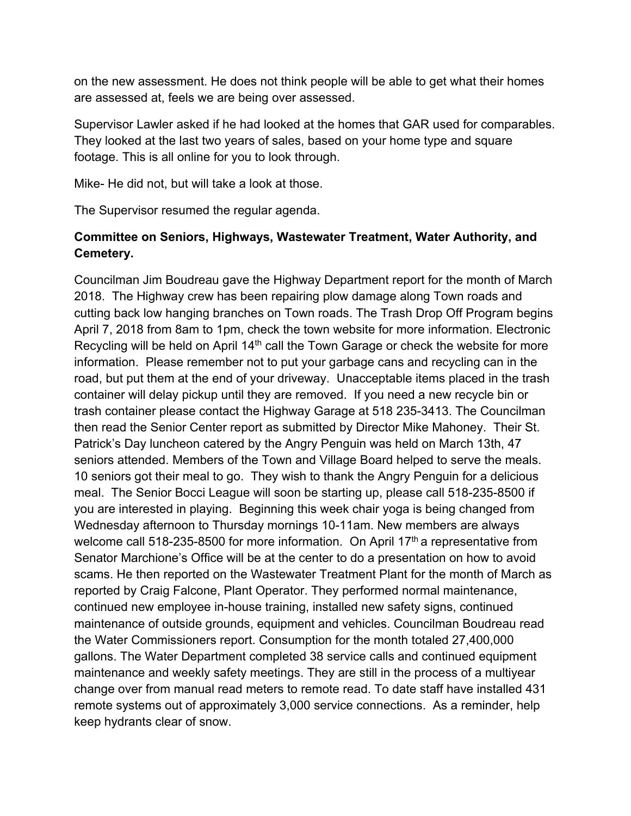on the new assessment. He does not think people will be able to get what their homes are assessed at, feels we are being over assessed.

Supervisor Lawler asked if he had looked at the homes that GAR used for comparables. They looked at the last two years of sales, based on your home type and square footage. This is all online for you to look through.

Mike- He did not, but will take a look at those.

The Supervisor resumed the regular agenda.

## **Committee on Seniors, Highways, Wastewater Treatment, Water Authority, and Cemetery.**

Councilman Jim Boudreau gave the Highway Department report for the month of March 2018. The Highway crew has been repairing plow damage along Town roads and cutting back low hanging branches on Town roads. The Trash Drop Off Program begins April 7, 2018 from 8am to 1pm, check the town website for more information. Electronic Recycling will be held on April 14<sup>th</sup> call the Town Garage or check the website for more information. Please remember not to put your garbage cans and recycling can in the road, but put them at the end of your driveway. Unacceptable items placed in the trash container will delay pickup until they are removed. If you need a new recycle bin or trash container please contact the Highway Garage at 518 235-3413. The Councilman then read the Senior Center report as submitted by Director Mike Mahoney. Their St. Patrick's Day luncheon catered by the Angry Penguin was held on March 13th, 47 seniors attended. Members of the Town and Village Board helped to serve the meals. 10 seniors got their meal to go. They wish to thank the Angry Penguin for a delicious meal. The Senior Bocci League will soon be starting up, please call 518-235-8500 if you are interested in playing. Beginning this week chair yoga is being changed from Wednesday afternoon to Thursday mornings 10-11am. New members are always welcome call 518-235-8500 for more information. On April 17<sup>th</sup> a representative from Senator Marchione's Office will be at the center to do a presentation on how to avoid scams. He then reported on the Wastewater Treatment Plant for the month of March as reported by Craig Falcone, Plant Operator. They performed normal maintenance, continued new employee in-house training, installed new safety signs, continued maintenance of outside grounds, equipment and vehicles. Councilman Boudreau read the Water Commissioners report. Consumption for the month totaled 27,400,000 gallons. The Water Department completed 38 service calls and continued equipment maintenance and weekly safety meetings. They are still in the process of a multiyear change over from manual read meters to remote read. To date staff have installed 431 remote systems out of approximately 3,000 service connections. As a reminder, help keep hydrants clear of snow.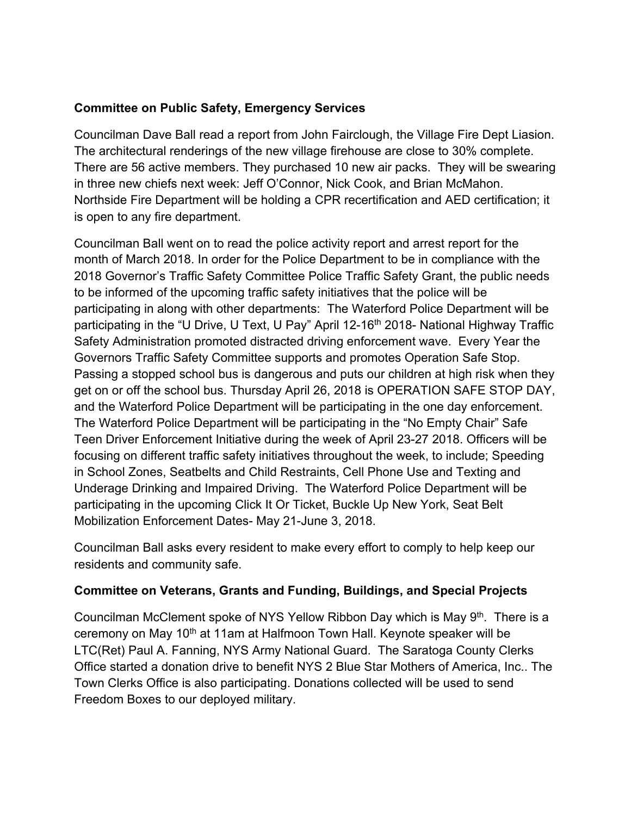### **Committee on Public Safety, Emergency Services**

Councilman Dave Ball read a report from John Fairclough, the Village Fire Dept Liasion. The architectural renderings of the new village firehouse are close to 30% complete. There are 56 active members. They purchased 10 new air packs. They will be swearing in three new chiefs next week: Jeff O'Connor, Nick Cook, and Brian McMahon. Northside Fire Department will be holding a CPR recertification and AED certification; it is open to any fire department.

Councilman Ball went on to read the police activity report and arrest report for the month of March 2018. In order for the Police Department to be in compliance with the 2018 Governor's Traffic Safety Committee Police Traffic Safety Grant, the public needs to be informed of the upcoming traffic safety initiatives that the police will be participating in along with other departments: The Waterford Police Department will be participating in the "U Drive, U Text, U Pay" April 12-16<sup>th</sup> 2018- National Highway Traffic Safety Administration promoted distracted driving enforcement wave. Every Year the Governors Traffic Safety Committee supports and promotes Operation Safe Stop. Passing a stopped school bus is dangerous and puts our children at high risk when they get on or off the school bus. Thursday April 26, 2018 is OPERATION SAFE STOP DAY, and the Waterford Police Department will be participating in the one day enforcement. The Waterford Police Department will be participating in the "No Empty Chair" Safe Teen Driver Enforcement Initiative during the week of April 23-27 2018. Officers will be focusing on different traffic safety initiatives throughout the week, to include; Speeding in School Zones, Seatbelts and Child Restraints, Cell Phone Use and Texting and Underage Drinking and Impaired Driving. The Waterford Police Department will be participating in the upcoming Click It Or Ticket, Buckle Up New York, Seat Belt Mobilization Enforcement Dates- May 21-June 3, 2018.

Councilman Ball asks every resident to make every effort to comply to help keep our residents and community safe.

### **Committee on Veterans, Grants and Funding, Buildings, and Special Projects**

Councilman McClement spoke of NYS Yellow Ribbon Day which is May 9<sup>th</sup>. There is a ceremony on May 10<sup>th</sup> at 11am at Halfmoon Town Hall. Keynote speaker will be LTC(Ret) Paul A. Fanning, NYS Army National Guard. The Saratoga County Clerks Office started a donation drive to benefit NYS 2 Blue Star Mothers of America, Inc.. The Town Clerks Office is also participating. Donations collected will be used to send Freedom Boxes to our deployed military.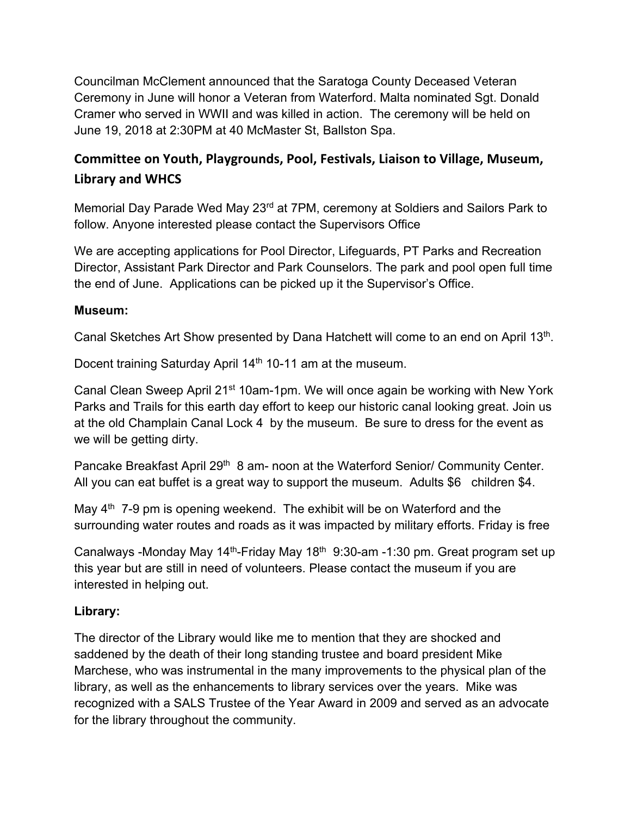Councilman McClement announced that the Saratoga County Deceased Veteran Ceremony in June will honor a Veteran from Waterford. Malta nominated Sgt. Donald Cramer who served in WWII and was killed in action. The ceremony will be held on June 19, 2018 at 2:30PM at 40 McMaster St, Ballston Spa.

# **Committee on Youth, Playgrounds, Pool, Festivals, Liaison to Village, Museum, Library and WHCS**

Memorial Day Parade Wed May 23<sup>rd</sup> at 7PM, ceremony at Soldiers and Sailors Park to follow. Anyone interested please contact the Supervisors Office

We are accepting applications for Pool Director, Lifeguards, PT Parks and Recreation Director, Assistant Park Director and Park Counselors. The park and pool open full time the end of June. Applications can be picked up it the Supervisor's Office.

### **Museum:**

Canal Sketches Art Show presented by Dana Hatchett will come to an end on April 13<sup>th</sup>.

Docent training Saturday April 14<sup>th</sup> 10-11 am at the museum.

Canal Clean Sweep April 21st 10am-1pm. We will once again be working with New York Parks and Trails for this earth day effort to keep our historic canal looking great. Join us at the old Champlain Canal Lock 4 by the museum. Be sure to dress for the event as we will be getting dirty.

Pancake Breakfast April 29<sup>th</sup> 8 am- noon at the Waterford Senior/ Community Center. All you can eat buffet is a great way to support the museum. Adults \$6 children \$4.

May  $4<sup>th</sup>$  7-9 pm is opening weekend. The exhibit will be on Waterford and the surrounding water routes and roads as it was impacted by military efforts. Friday is free

Canalways -Monday May 14<sup>th</sup>-Friday May 18<sup>th</sup> 9:30-am -1:30 pm. Great program set up this year but are still in need of volunteers. Please contact the museum if you are interested in helping out.

## **Library:**

The director of the Library would like me to mention that they are shocked and saddened by the death of their long standing trustee and board president Mike Marchese, who was instrumental in the many improvements to the physical plan of the library, as well as the enhancements to library services over the years. Mike was recognized with a SALS Trustee of the Year Award in 2009 and served as an advocate for the library throughout the community.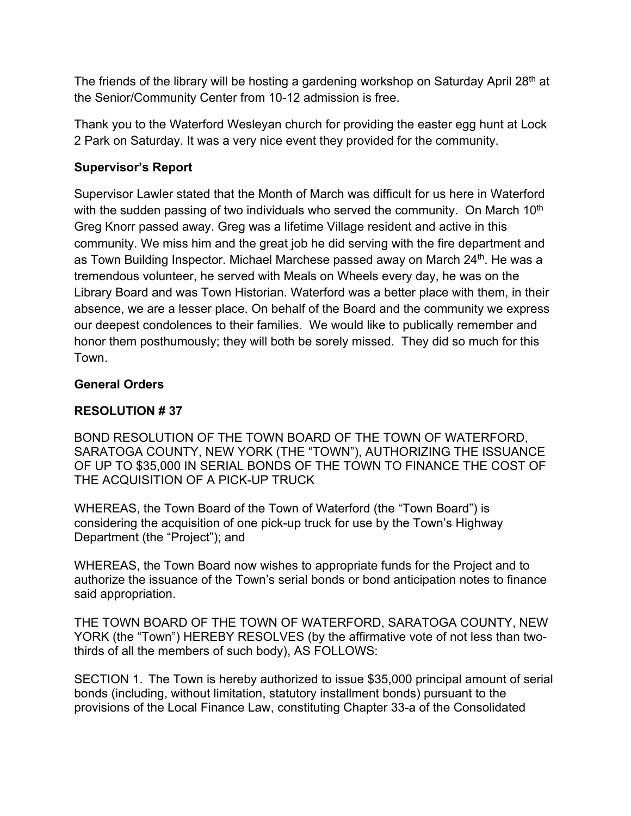The friends of the library will be hosting a gardening workshop on Saturday April 28<sup>th</sup> at the Senior/Community Center from 10-12 admission is free.

Thank you to the Waterford Wesleyan church for providing the easter egg hunt at Lock 2 Park on Saturday. It was a very nice event they provided for the community.

## **Supervisor's Report**

Supervisor Lawler stated that the Month of March was difficult for us here in Waterford with the sudden passing of two individuals who served the community. On March 10<sup>th</sup> Greg Knorr passed away. Greg was a lifetime Village resident and active in this community. We miss him and the great job he did serving with the fire department and as Town Building Inspector. Michael Marchese passed away on March 24<sup>th</sup>. He was a tremendous volunteer, he served with Meals on Wheels every day, he was on the Library Board and was Town Historian. Waterford was a better place with them, in their absence, we are a lesser place. On behalf of the Board and the community we express our deepest condolences to their families. We would like to publically remember and honor them posthumously; they will both be sorely missed. They did so much for this Town.

### **General Orders**

## **RESOLUTION # 37**

BOND RESOLUTION OF THE TOWN BOARD OF THE TOWN OF WATERFORD, SARATOGA COUNTY, NEW YORK (THE "TOWN"), AUTHORIZING THE ISSUANCE OF UP TO \$35,000 IN SERIAL BONDS OF THE TOWN TO FINANCE THE COST OF THE ACQUISITION OF A PICK-UP TRUCK

WHEREAS, the Town Board of the Town of Waterford (the "Town Board") is considering the acquisition of one pick-up truck for use by the Town's Highway Department (the "Project"); and

WHEREAS, the Town Board now wishes to appropriate funds for the Project and to authorize the issuance of the Town's serial bonds or bond anticipation notes to finance said appropriation.

THE TOWN BOARD OF THE TOWN OF WATERFORD, SARATOGA COUNTY, NEW YORK (the "Town") HEREBY RESOLVES (by the affirmative vote of not less than twothirds of all the members of such body), AS FOLLOWS:

SECTION 1. The Town is hereby authorized to issue \$35,000 principal amount of serial bonds (including, without limitation, statutory installment bonds) pursuant to the provisions of the Local Finance Law, constituting Chapter 33-a of the Consolidated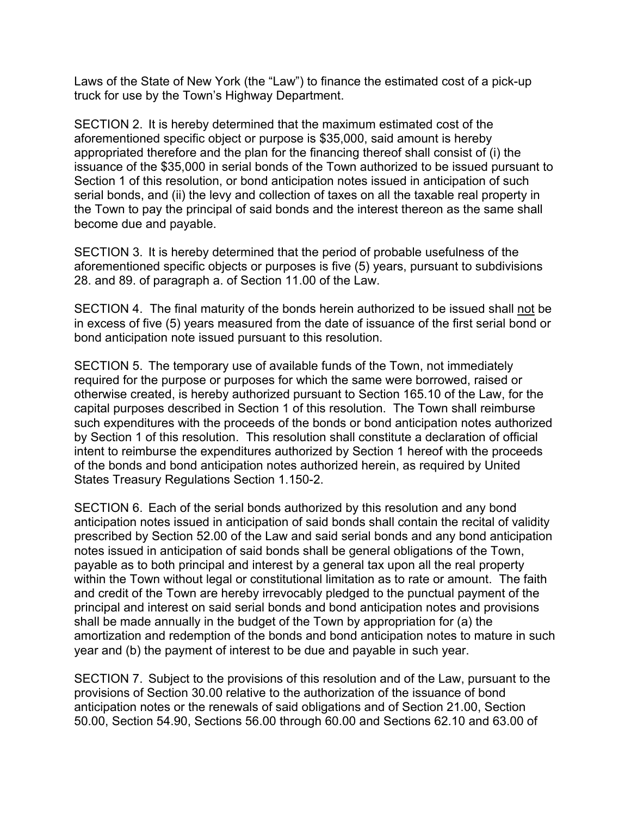Laws of the State of New York (the "Law") to finance the estimated cost of a pick-up truck for use by the Town's Highway Department.

SECTION 2. It is hereby determined that the maximum estimated cost of the aforementioned specific object or purpose is \$35,000, said amount is hereby appropriated therefore and the plan for the financing thereof shall consist of (i) the issuance of the \$35,000 in serial bonds of the Town authorized to be issued pursuant to Section 1 of this resolution, or bond anticipation notes issued in anticipation of such serial bonds, and (ii) the levy and collection of taxes on all the taxable real property in the Town to pay the principal of said bonds and the interest thereon as the same shall become due and payable.

SECTION 3. It is hereby determined that the period of probable usefulness of the aforementioned specific objects or purposes is five (5) years, pursuant to subdivisions 28. and 89. of paragraph a. of Section 11.00 of the Law.

SECTION 4. The final maturity of the bonds herein authorized to be issued shall not be in excess of five (5) years measured from the date of issuance of the first serial bond or bond anticipation note issued pursuant to this resolution.

SECTION 5. The temporary use of available funds of the Town, not immediately required for the purpose or purposes for which the same were borrowed, raised or otherwise created, is hereby authorized pursuant to Section 165.10 of the Law, for the capital purposes described in Section 1 of this resolution. The Town shall reimburse such expenditures with the proceeds of the bonds or bond anticipation notes authorized by Section 1 of this resolution. This resolution shall constitute a declaration of official intent to reimburse the expenditures authorized by Section 1 hereof with the proceeds of the bonds and bond anticipation notes authorized herein, as required by United States Treasury Regulations Section 1.150-2.

SECTION 6. Each of the serial bonds authorized by this resolution and any bond anticipation notes issued in anticipation of said bonds shall contain the recital of validity prescribed by Section 52.00 of the Law and said serial bonds and any bond anticipation notes issued in anticipation of said bonds shall be general obligations of the Town, payable as to both principal and interest by a general tax upon all the real property within the Town without legal or constitutional limitation as to rate or amount. The faith and credit of the Town are hereby irrevocably pledged to the punctual payment of the principal and interest on said serial bonds and bond anticipation notes and provisions shall be made annually in the budget of the Town by appropriation for (a) the amortization and redemption of the bonds and bond anticipation notes to mature in such year and (b) the payment of interest to be due and payable in such year.

SECTION 7. Subject to the provisions of this resolution and of the Law, pursuant to the provisions of Section 30.00 relative to the authorization of the issuance of bond anticipation notes or the renewals of said obligations and of Section 21.00, Section 50.00, Section 54.90, Sections 56.00 through 60.00 and Sections 62.10 and 63.00 of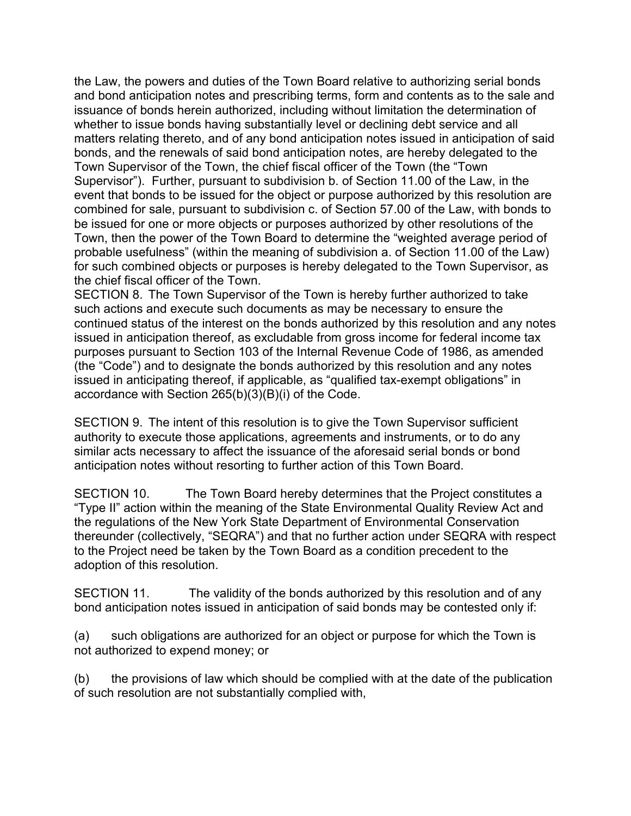the Law, the powers and duties of the Town Board relative to authorizing serial bonds and bond anticipation notes and prescribing terms, form and contents as to the sale and issuance of bonds herein authorized, including without limitation the determination of whether to issue bonds having substantially level or declining debt service and all matters relating thereto, and of any bond anticipation notes issued in anticipation of said bonds, and the renewals of said bond anticipation notes, are hereby delegated to the Town Supervisor of the Town, the chief fiscal officer of the Town (the "Town Supervisor"). Further, pursuant to subdivision b. of Section 11.00 of the Law, in the event that bonds to be issued for the object or purpose authorized by this resolution are combined for sale, pursuant to subdivision c. of Section 57.00 of the Law, with bonds to be issued for one or more objects or purposes authorized by other resolutions of the Town, then the power of the Town Board to determine the "weighted average period of probable usefulness" (within the meaning of subdivision a. of Section 11.00 of the Law) for such combined objects or purposes is hereby delegated to the Town Supervisor, as the chief fiscal officer of the Town.

SECTION 8. The Town Supervisor of the Town is hereby further authorized to take such actions and execute such documents as may be necessary to ensure the continued status of the interest on the bonds authorized by this resolution and any notes issued in anticipation thereof, as excludable from gross income for federal income tax purposes pursuant to Section 103 of the Internal Revenue Code of 1986, as amended (the "Code") and to designate the bonds authorized by this resolution and any notes issued in anticipating thereof, if applicable, as "qualified tax-exempt obligations" in accordance with Section 265(b)(3)(B)(i) of the Code.

SECTION 9. The intent of this resolution is to give the Town Supervisor sufficient authority to execute those applications, agreements and instruments, or to do any similar acts necessary to affect the issuance of the aforesaid serial bonds or bond anticipation notes without resorting to further action of this Town Board.

SECTION 10. The Town Board hereby determines that the Project constitutes a "Type II" action within the meaning of the State Environmental Quality Review Act and the regulations of the New York State Department of Environmental Conservation thereunder (collectively, "SEQRA") and that no further action under SEQRA with respect to the Project need be taken by the Town Board as a condition precedent to the adoption of this resolution.

SECTION 11. The validity of the bonds authorized by this resolution and of any bond anticipation notes issued in anticipation of said bonds may be contested only if:

(a) such obligations are authorized for an object or purpose for which the Town is not authorized to expend money; or

(b) the provisions of law which should be complied with at the date of the publication of such resolution are not substantially complied with,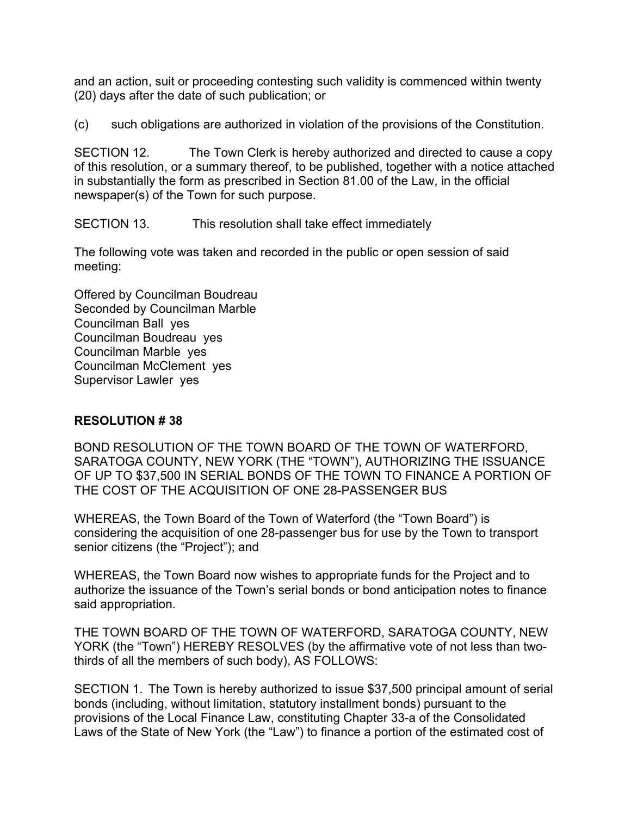and an action, suit or proceeding contesting such validity is commenced within twenty (20) days after the date of such publication; or

(c) such obligations are authorized in violation of the provisions of the Constitution.

SECTION 12. The Town Clerk is hereby authorized and directed to cause a copy of this resolution, or a summary thereof, to be published, together with a notice attached in substantially the form as prescribed in Section 81.00 of the Law, in the official newspaper(s) of the Town for such purpose.

SECTION 13. This resolution shall take effect immediately

The following vote was taken and recorded in the public or open session of said meeting:

Offered by Councilman Boudreau Seconded by Councilman Marble Councilman Ball yes Councilman Boudreau yes Councilman Marble yes Councilman McClement yes Supervisor Lawler yes

### **RESOLUTION # 38**

BOND RESOLUTION OF THE TOWN BOARD OF THE TOWN OF WATERFORD, SARATOGA COUNTY, NEW YORK (THE "TOWN"), AUTHORIZING THE ISSUANCE OF UP TO \$37,500 IN SERIAL BONDS OF THE TOWN TO FINANCE A PORTION OF THE COST OF THE ACQUISITION OF ONE 28-PASSENGER BUS

WHEREAS, the Town Board of the Town of Waterford (the "Town Board") is considering the acquisition of one 28-passenger bus for use by the Town to transport senior citizens (the "Project"); and

WHEREAS, the Town Board now wishes to appropriate funds for the Project and to authorize the issuance of the Town's serial bonds or bond anticipation notes to finance said appropriation.

THE TOWN BOARD OF THE TOWN OF WATERFORD, SARATOGA COUNTY, NEW YORK (the "Town") HEREBY RESOLVES (by the affirmative vote of not less than twothirds of all the members of such body), AS FOLLOWS:

SECTION 1. The Town is hereby authorized to issue \$37,500 principal amount of serial bonds (including, without limitation, statutory installment bonds) pursuant to the provisions of the Local Finance Law, constituting Chapter 33-a of the Consolidated Laws of the State of New York (the "Law") to finance a portion of the estimated cost of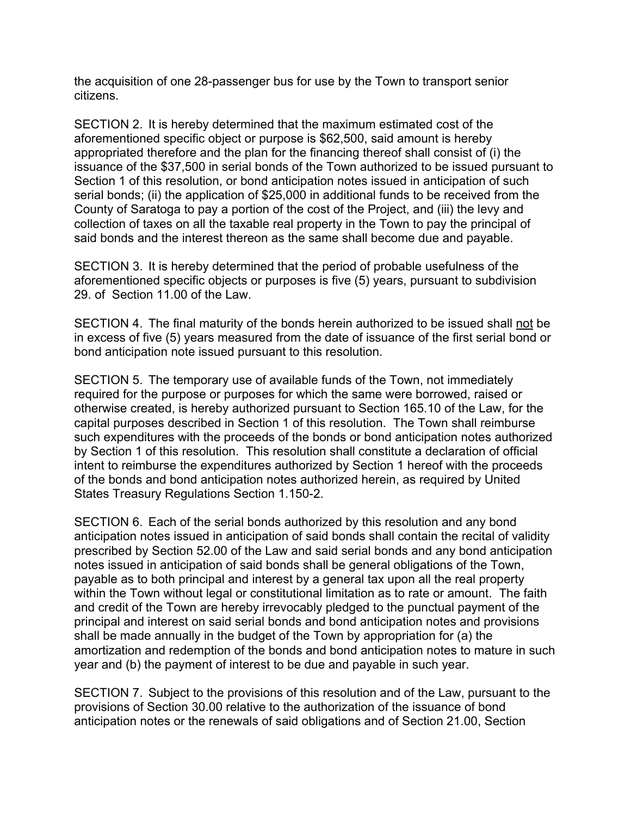the acquisition of one 28-passenger bus for use by the Town to transport senior citizens.

SECTION 2. It is hereby determined that the maximum estimated cost of the aforementioned specific object or purpose is \$62,500, said amount is hereby appropriated therefore and the plan for the financing thereof shall consist of (i) the issuance of the \$37,500 in serial bonds of the Town authorized to be issued pursuant to Section 1 of this resolution, or bond anticipation notes issued in anticipation of such serial bonds; (ii) the application of \$25,000 in additional funds to be received from the County of Saratoga to pay a portion of the cost of the Project, and (iii) the levy and collection of taxes on all the taxable real property in the Town to pay the principal of said bonds and the interest thereon as the same shall become due and payable.

SECTION 3. It is hereby determined that the period of probable usefulness of the aforementioned specific objects or purposes is five (5) years, pursuant to subdivision 29. of Section 11.00 of the Law.

SECTION 4. The final maturity of the bonds herein authorized to be issued shall not be in excess of five (5) years measured from the date of issuance of the first serial bond or bond anticipation note issued pursuant to this resolution.

SECTION 5. The temporary use of available funds of the Town, not immediately required for the purpose or purposes for which the same were borrowed, raised or otherwise created, is hereby authorized pursuant to Section 165.10 of the Law, for the capital purposes described in Section 1 of this resolution. The Town shall reimburse such expenditures with the proceeds of the bonds or bond anticipation notes authorized by Section 1 of this resolution. This resolution shall constitute a declaration of official intent to reimburse the expenditures authorized by Section 1 hereof with the proceeds of the bonds and bond anticipation notes authorized herein, as required by United States Treasury Regulations Section 1.150-2.

SECTION 6. Each of the serial bonds authorized by this resolution and any bond anticipation notes issued in anticipation of said bonds shall contain the recital of validity prescribed by Section 52.00 of the Law and said serial bonds and any bond anticipation notes issued in anticipation of said bonds shall be general obligations of the Town, payable as to both principal and interest by a general tax upon all the real property within the Town without legal or constitutional limitation as to rate or amount. The faith and credit of the Town are hereby irrevocably pledged to the punctual payment of the principal and interest on said serial bonds and bond anticipation notes and provisions shall be made annually in the budget of the Town by appropriation for (a) the amortization and redemption of the bonds and bond anticipation notes to mature in such year and (b) the payment of interest to be due and payable in such year.

SECTION 7. Subject to the provisions of this resolution and of the Law, pursuant to the provisions of Section 30.00 relative to the authorization of the issuance of bond anticipation notes or the renewals of said obligations and of Section 21.00, Section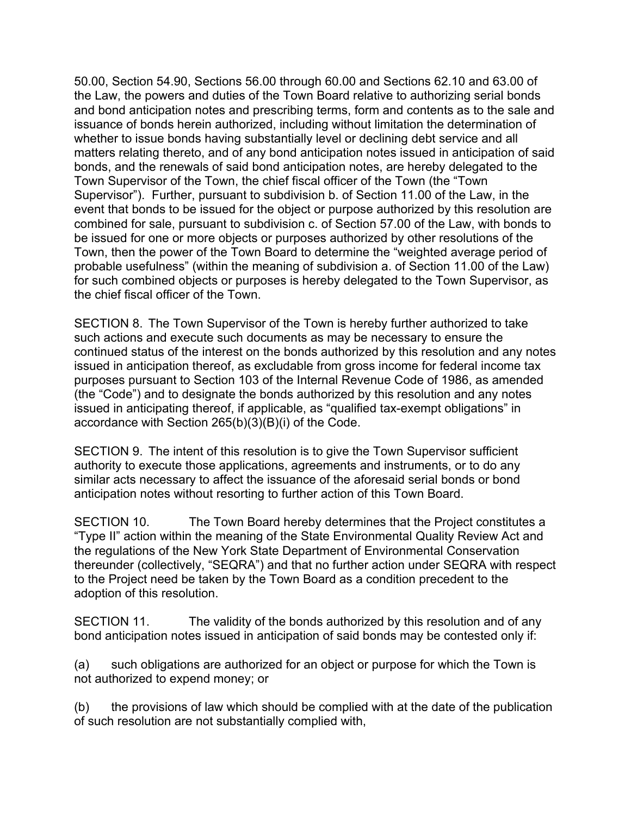50.00, Section 54.90, Sections 56.00 through 60.00 and Sections 62.10 and 63.00 of the Law, the powers and duties of the Town Board relative to authorizing serial bonds and bond anticipation notes and prescribing terms, form and contents as to the sale and issuance of bonds herein authorized, including without limitation the determination of whether to issue bonds having substantially level or declining debt service and all matters relating thereto, and of any bond anticipation notes issued in anticipation of said bonds, and the renewals of said bond anticipation notes, are hereby delegated to the Town Supervisor of the Town, the chief fiscal officer of the Town (the "Town Supervisor"). Further, pursuant to subdivision b. of Section 11.00 of the Law, in the event that bonds to be issued for the object or purpose authorized by this resolution are combined for sale, pursuant to subdivision c. of Section 57.00 of the Law, with bonds to be issued for one or more objects or purposes authorized by other resolutions of the Town, then the power of the Town Board to determine the "weighted average period of probable usefulness" (within the meaning of subdivision a. of Section 11.00 of the Law) for such combined objects or purposes is hereby delegated to the Town Supervisor, as the chief fiscal officer of the Town.

SECTION 8. The Town Supervisor of the Town is hereby further authorized to take such actions and execute such documents as may be necessary to ensure the continued status of the interest on the bonds authorized by this resolution and any notes issued in anticipation thereof, as excludable from gross income for federal income tax purposes pursuant to Section 103 of the Internal Revenue Code of 1986, as amended (the "Code") and to designate the bonds authorized by this resolution and any notes issued in anticipating thereof, if applicable, as "qualified tax-exempt obligations" in accordance with Section 265(b)(3)(B)(i) of the Code.

SECTION 9. The intent of this resolution is to give the Town Supervisor sufficient authority to execute those applications, agreements and instruments, or to do any similar acts necessary to affect the issuance of the aforesaid serial bonds or bond anticipation notes without resorting to further action of this Town Board.

SECTION 10. The Town Board hereby determines that the Project constitutes a "Type II" action within the meaning of the State Environmental Quality Review Act and the regulations of the New York State Department of Environmental Conservation thereunder (collectively, "SEQRA") and that no further action under SEQRA with respect to the Project need be taken by the Town Board as a condition precedent to the adoption of this resolution.

SECTION 11. The validity of the bonds authorized by this resolution and of any bond anticipation notes issued in anticipation of said bonds may be contested only if:

(a) such obligations are authorized for an object or purpose for which the Town is not authorized to expend money; or

(b) the provisions of law which should be complied with at the date of the publication of such resolution are not substantially complied with,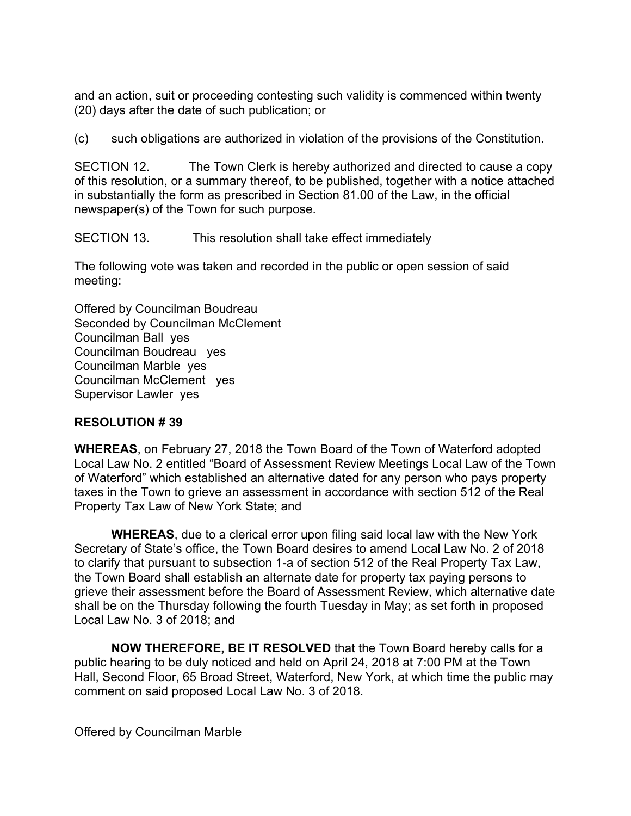and an action, suit or proceeding contesting such validity is commenced within twenty (20) days after the date of such publication; or

(c) such obligations are authorized in violation of the provisions of the Constitution.

SECTION 12. The Town Clerk is hereby authorized and directed to cause a copy of this resolution, or a summary thereof, to be published, together with a notice attached in substantially the form as prescribed in Section 81.00 of the Law, in the official newspaper(s) of the Town for such purpose.

SECTION 13. This resolution shall take effect immediately

The following vote was taken and recorded in the public or open session of said meeting:

Offered by Councilman Boudreau Seconded by Councilman McClement Councilman Ball yes Councilman Boudreau yes Councilman Marble yes Councilman McClement yes Supervisor Lawler yes

### **RESOLUTION # 39**

**WHEREAS**, on February 27, 2018 the Town Board of the Town of Waterford adopted Local Law No. 2 entitled "Board of Assessment Review Meetings Local Law of the Town of Waterford" which established an alternative dated for any person who pays property taxes in the Town to grieve an assessment in accordance with section 512 of the Real Property Tax Law of New York State; and

**WHEREAS**, due to a clerical error upon filing said local law with the New York Secretary of State's office, the Town Board desires to amend Local Law No. 2 of 2018 to clarify that pursuant to subsection 1-a of section 512 of the Real Property Tax Law, the Town Board shall establish an alternate date for property tax paying persons to grieve their assessment before the Board of Assessment Review, which alternative date shall be on the Thursday following the fourth Tuesday in May; as set forth in proposed Local Law No. 3 of 2018; and

 **NOW THEREFORE, BE IT RESOLVED** that the Town Board hereby calls for a public hearing to be duly noticed and held on April 24, 2018 at 7:00 PM at the Town Hall, Second Floor, 65 Broad Street, Waterford, New York, at which time the public may comment on said proposed Local Law No. 3 of 2018.

Offered by Councilman Marble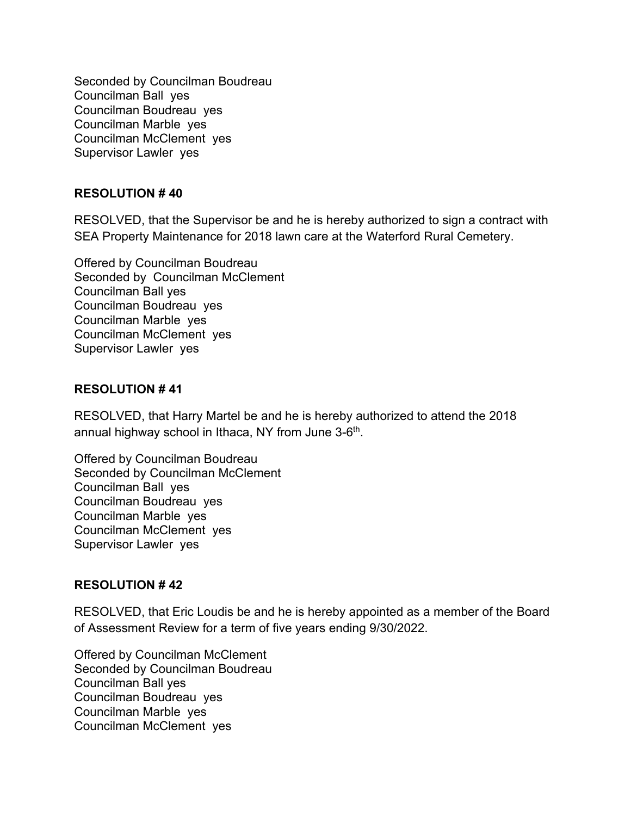Seconded by Councilman Boudreau Councilman Ball yes Councilman Boudreau yes Councilman Marble yes Councilman McClement yes Supervisor Lawler yes

#### **RESOLUTION # 40**

RESOLVED, that the Supervisor be and he is hereby authorized to sign a contract with SEA Property Maintenance for 2018 lawn care at the Waterford Rural Cemetery.

Offered by Councilman Boudreau Seconded by Councilman McClement Councilman Ball yes Councilman Boudreau yes Councilman Marble yes Councilman McClement yes Supervisor Lawler yes

#### **RESOLUTION # 41**

RESOLVED, that Harry Martel be and he is hereby authorized to attend the 2018 annual highway school in Ithaca, NY from June 3-6<sup>th</sup>.

Offered by Councilman Boudreau Seconded by Councilman McClement Councilman Ball yes Councilman Boudreau yes Councilman Marble yes Councilman McClement yes Supervisor Lawler yes

#### **RESOLUTION # 42**

RESOLVED, that Eric Loudis be and he is hereby appointed as a member of the Board of Assessment Review for a term of five years ending 9/30/2022.

Offered by Councilman McClement Seconded by Councilman Boudreau Councilman Ball yes Councilman Boudreau yes Councilman Marble yes Councilman McClement yes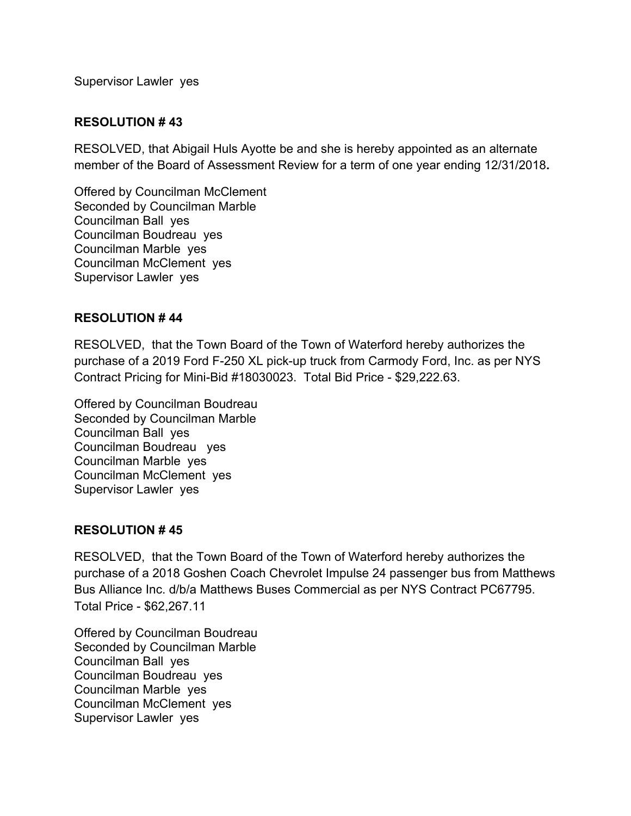Supervisor Lawler yes

#### **RESOLUTION # 43**

RESOLVED, that Abigail Huls Ayotte be and she is hereby appointed as an alternate member of the Board of Assessment Review for a term of one year ending 12/31/2018**.** 

Offered by Councilman McClement Seconded by Councilman Marble Councilman Ball yes Councilman Boudreau yes Councilman Marble yes Councilman McClement yes Supervisor Lawler yes

#### **RESOLUTION # 44**

RESOLVED, that the Town Board of the Town of Waterford hereby authorizes the purchase of a 2019 Ford F-250 XL pick-up truck from Carmody Ford, Inc. as per NYS Contract Pricing for Mini-Bid #18030023. Total Bid Price - \$29,222.63.

Offered by Councilman Boudreau Seconded by Councilman Marble Councilman Ball yes Councilman Boudreau yes Councilman Marble yes Councilman McClement yes Supervisor Lawler yes

#### **RESOLUTION # 45**

RESOLVED, that the Town Board of the Town of Waterford hereby authorizes the purchase of a 2018 Goshen Coach Chevrolet Impulse 24 passenger bus from Matthews Bus Alliance Inc. d/b/a Matthews Buses Commercial as per NYS Contract PC67795. Total Price - \$62,267.11

Offered by Councilman Boudreau Seconded by Councilman Marble Councilman Ball yes Councilman Boudreau yes Councilman Marble yes Councilman McClement yes Supervisor Lawler yes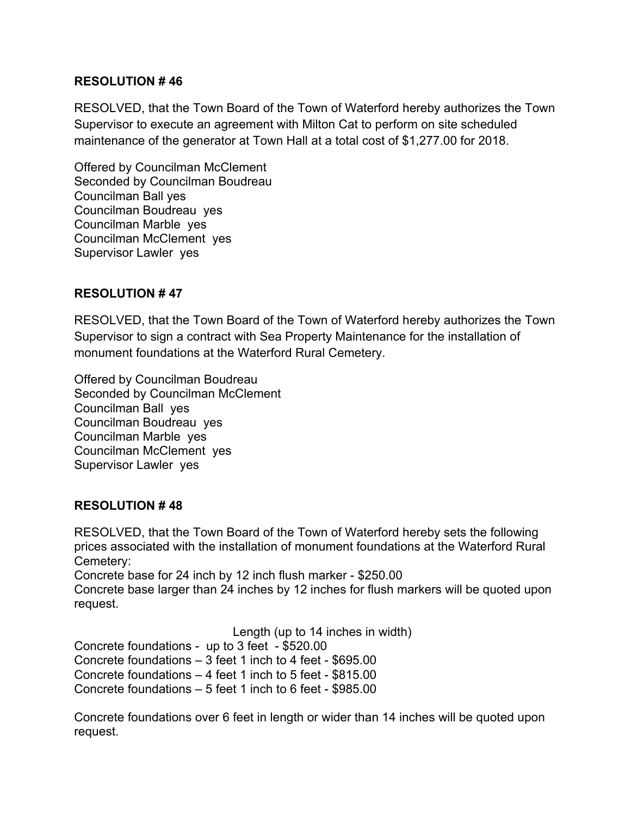### **RESOLUTION # 46**

RESOLVED, that the Town Board of the Town of Waterford hereby authorizes the Town Supervisor to execute an agreement with Milton Cat to perform on site scheduled maintenance of the generator at Town Hall at a total cost of \$1,277.00 for 2018.

Offered by Councilman McClement Seconded by Councilman Boudreau Councilman Ball yes Councilman Boudreau yes Councilman Marble yes Councilman McClement yes Supervisor Lawler yes

### **RESOLUTION # 47**

RESOLVED, that the Town Board of the Town of Waterford hereby authorizes the Town Supervisor to sign a contract with Sea Property Maintenance for the installation of monument foundations at the Waterford Rural Cemetery.

Offered by Councilman Boudreau Seconded by Councilman McClement Councilman Ball yes Councilman Boudreau yes Councilman Marble yes Councilman McClement yes Supervisor Lawler yes

### **RESOLUTION # 48**

RESOLVED, that the Town Board of the Town of Waterford hereby sets the following prices associated with the installation of monument foundations at the Waterford Rural Cemetery:

Concrete base for 24 inch by 12 inch flush marker - \$250.00

Concrete base larger than 24 inches by 12 inches for flush markers will be quoted upon request.

Length (up to 14 inches in width)

Concrete foundations - up to 3 feet - \$520.00

Concrete foundations – 3 feet 1 inch to 4 feet - \$695.00

Concrete foundations – 4 feet 1 inch to 5 feet - \$815.00

Concrete foundations – 5 feet 1 inch to 6 feet - \$985.00

Concrete foundations over 6 feet in length or wider than 14 inches will be quoted upon request.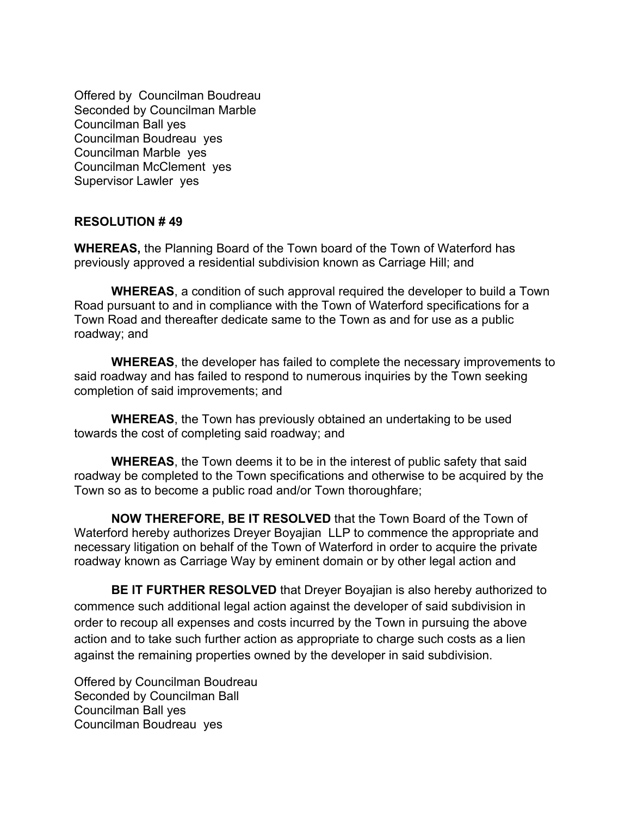Offered by Councilman Boudreau Seconded by Councilman Marble Councilman Ball yes Councilman Boudreau yes Councilman Marble yes Councilman McClement yes Supervisor Lawler yes

#### **RESOLUTION # 49**

**WHEREAS,** the Planning Board of the Town board of the Town of Waterford has previously approved a residential subdivision known as Carriage Hill; and

**WHEREAS**, a condition of such approval required the developer to build a Town Road pursuant to and in compliance with the Town of Waterford specifications for a Town Road and thereafter dedicate same to the Town as and for use as a public roadway; and

**WHEREAS**, the developer has failed to complete the necessary improvements to said roadway and has failed to respond to numerous inquiries by the Town seeking completion of said improvements; and

**WHEREAS**, the Town has previously obtained an undertaking to be used towards the cost of completing said roadway; and

**WHEREAS**, the Town deems it to be in the interest of public safety that said roadway be completed to the Town specifications and otherwise to be acquired by the Town so as to become a public road and/or Town thoroughfare;

**NOW THEREFORE, BE IT RESOLVED** that the Town Board of the Town of Waterford hereby authorizes Dreyer Boyajian LLP to commence the appropriate and necessary litigation on behalf of the Town of Waterford in order to acquire the private roadway known as Carriage Way by eminent domain or by other legal action and

**BE IT FURTHER RESOLVED** that Dreyer Boyajian is also hereby authorized to commence such additional legal action against the developer of said subdivision in order to recoup all expenses and costs incurred by the Town in pursuing the above action and to take such further action as appropriate to charge such costs as a lien against the remaining properties owned by the developer in said subdivision.

Offered by Councilman Boudreau Seconded by Councilman Ball Councilman Ball yes Councilman Boudreau yes